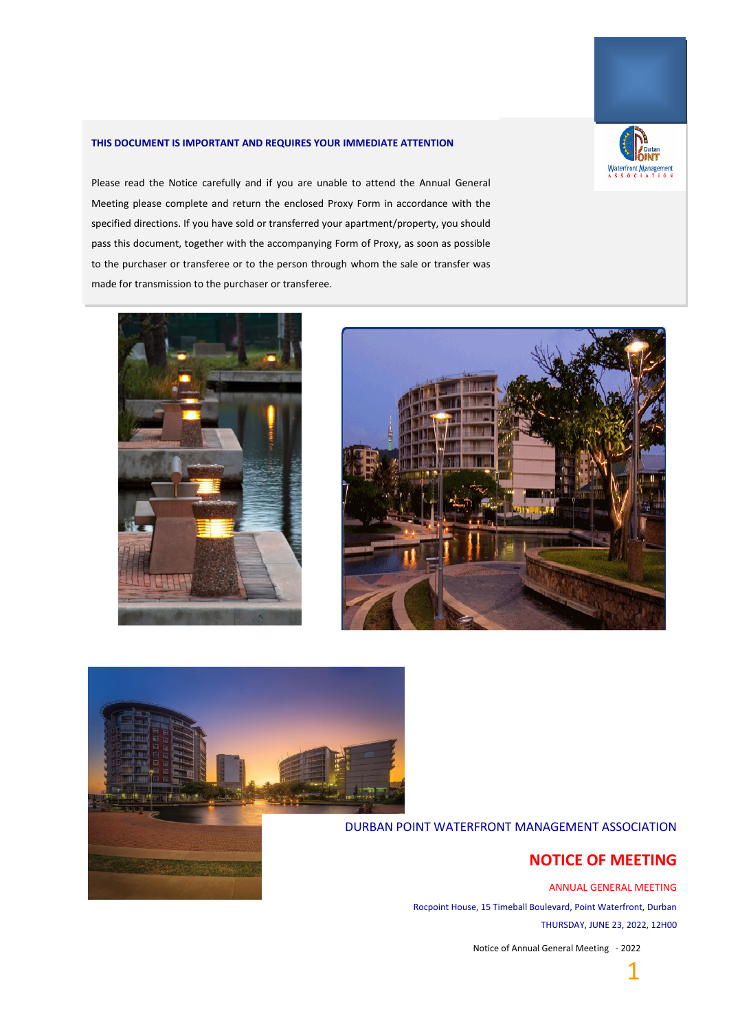

#### **THIS DOCUMENT IS IMPORTANT AND REQUIRES YOUR IMMEDIATE ATTENTION**

Please read the Notice carefully and if you are unable to attend the Annual General Meeting please complete and return the enclosed Proxy Form in accordance with the specified directions. If you have sold or transferred your apartment/property, you should pass this document, together with the accompanying Form of Proxy, as soon as possible to the purchaser or transferee or to the person through whom the sale or transfer was made for transmission to the purchaser or transferee.







DURBAN POINT WATERFRONT MANAGEMENT ASSOCIATION

## **NOTICE OF MEETING**

ANNUAL GENERAL MEETING Rocpoint House, 15 Timeball Boulevard, Point Waterfront, Durban THURSDAY, JUNE 23, 2022, 12H00

Notice of Annual General Meeting - 2022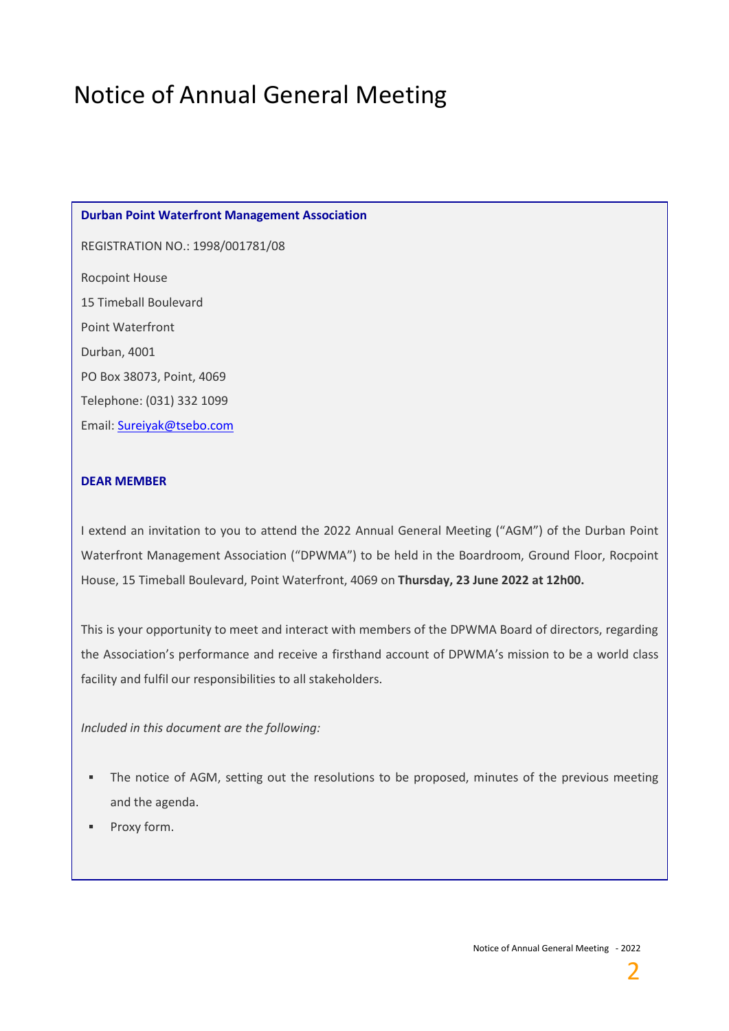# Notice of Annual General Meeting

#### **Durban Point Waterfront Management Association**

REGISTRATION NO.: 1998/001781/08

Rocpoint House 15 Timeball Boulevard Point Waterfront Durban, 4001 PO Box 38073, Point, 4069 Telephone: (031) 332 1099 Email: [Sureiyak@tsebo.com](mailto:Sureiyak@tsebo.com)

### **DEAR MEMBER**

I extend an invitation to you to attend the 2022 Annual General Meeting ("AGM") of the Durban Point Waterfront Management Association ("DPWMA") to be held in the Boardroom, Ground Floor, Rocpoint House, 15 Timeball Boulevard, Point Waterfront, 4069 on **Thursday, 23 June 2022 at 12h00.**

This is your opportunity to meet and interact with members of the DPWMA Board of directors, regarding the Association's performance and receive a firsthand account of DPWMA's mission to be a world class facility and fulfil our responsibilities to all stakeholders.

*Included in this document are the following:*

- **•** The notice of AGM, setting out the resolutions to be proposed, minutes of the previous meeting and the agenda.
- Proxy form.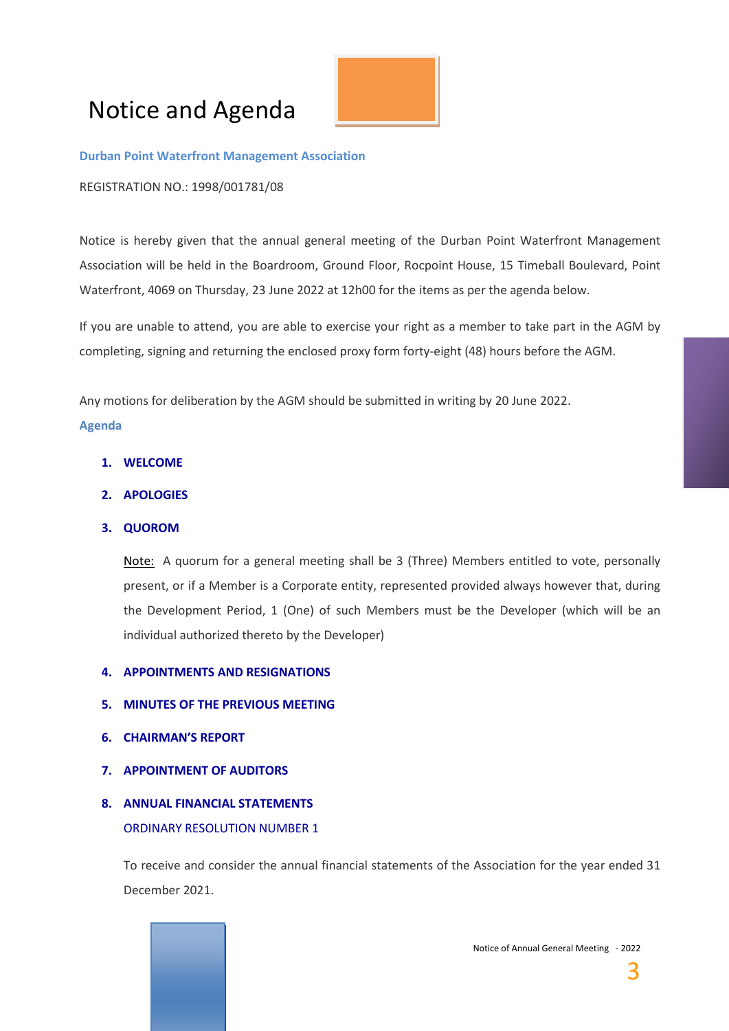# Notice and Agenda



#### **Durban Point Waterfront Management Association**

REGISTRATION NO.: 1998/001781/08

Notice is hereby given that the annual general meeting of the Durban Point Waterfront Management Association will be held in the Boardroom, Ground Floor, Rocpoint House, 15 Timeball Boulevard, Point Waterfront, 4069 on Thursday, 23 June 2022 at 12h00 for the items as per the agenda below.

If you are unable to attend, you are able to exercise your right as a member to take part in the AGM by completing, signing and returning the enclosed proxy form forty-eight (48) hours before the AGM.

Any motions for deliberation by the AGM should be submitted in writing by 20 June 2022.

### **Agenda**

- **1. WELCOME**
- **2. APOLOGIES**
- **3. QUOROM**

Note: A quorum for a general meeting shall be 3 (Three) Members entitled to vote, personally present, or if a Member is a Corporate entity, represented provided always however that, during the Development Period, 1 (One) of such Members must be the Developer (which will be an individual authorized thereto by the Developer)

### **4. APPOINTMENTS AND RESIGNATIONS**

- **5. MINUTES OF THE PREVIOUS MEETING**
- **6. CHAIRMAN'S REPORT**
- **7. APPOINTMENT OF AUDITORS**

**9. APPOINTMENT OF AUDITORS**

**10. ELECTION OF DIRECTORS**

ORDINARY RESOLUTION NUMBER 2

The appointment of an auditor

## **8. ANNUAL FINANCIAL STATEMENTS** ORDINARY RESOLUTION NUMBER 1

To receive and consider the annual financial statements of the Association for the year ended 31 December 2021.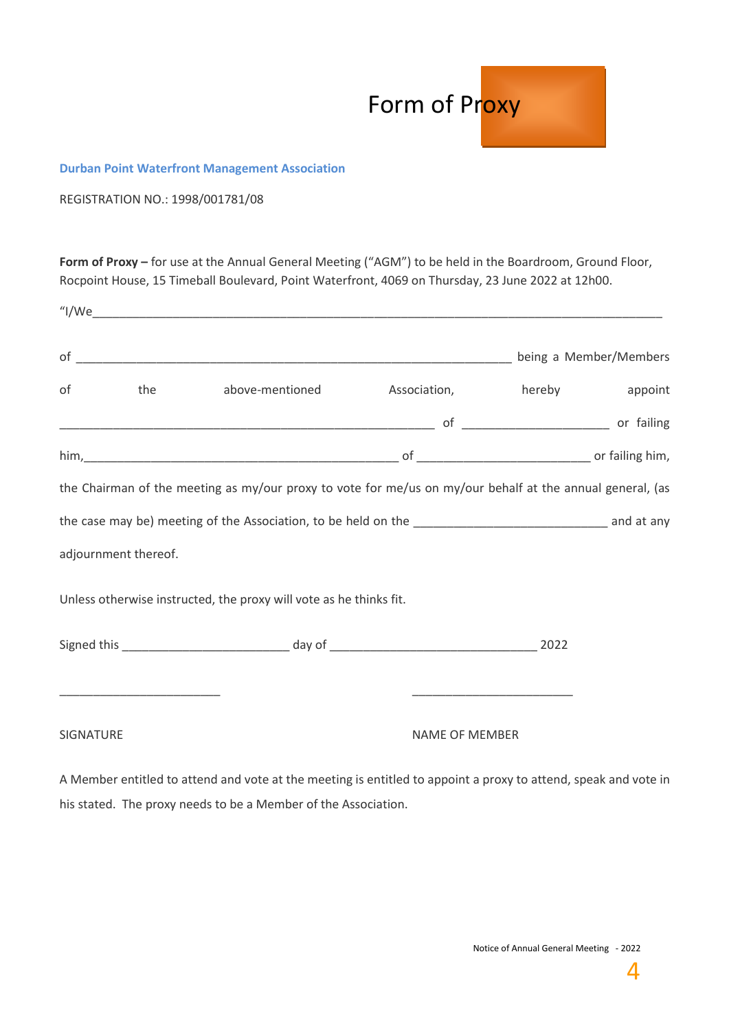

### **Durban Point Waterfront Management Association**

REGISTRATION NO.: 1998/001781/08

**Form of Proxy –** for use at the Annual General Meeting ("AGM") to be held in the Boardroom, Ground Floor, Rocpoint House, 15 Timeball Boulevard, Point Waterfront, 4069 on Thursday, 23 June 2022 at 12h00.

|                  |                      | of the above-mentioned Association, hereby appoint                                                                                                                                                                            |                       |                                                                                                                       |  |
|------------------|----------------------|-------------------------------------------------------------------------------------------------------------------------------------------------------------------------------------------------------------------------------|-----------------------|-----------------------------------------------------------------------------------------------------------------------|--|
|                  |                      |                                                                                                                                                                                                                               |                       |                                                                                                                       |  |
|                  |                      | him, 1990 or failing him, 1990 of 2000 and 2000 of 2000 and 2000 and 2000 and 2000 and 2000 and 2000 and 2000 and 2000 and 2000 and 2000 and 2000 and 2000 and 2000 and 2000 and 2000 and 2000 and 2000 and 2000 and 2000 and |                       |                                                                                                                       |  |
|                  |                      | the Chairman of the meeting as my/our proxy to vote for me/us on my/our behalf at the annual general, (as                                                                                                                     |                       |                                                                                                                       |  |
|                  |                      |                                                                                                                                                                                                                               |                       |                                                                                                                       |  |
|                  | adjournment thereof. |                                                                                                                                                                                                                               |                       |                                                                                                                       |  |
|                  |                      | Unless otherwise instructed, the proxy will vote as he thinks fit.                                                                                                                                                            |                       |                                                                                                                       |  |
|                  |                      |                                                                                                                                                                                                                               |                       |                                                                                                                       |  |
|                  |                      |                                                                                                                                                                                                                               |                       | <u> 1980 - Johann John Stone, markin amerikan bisa di sebagai pertama dan pertama dan pertama dan pertama dan per</u> |  |
| <b>SIGNATURE</b> |                      |                                                                                                                                                                                                                               | <b>NAME OF MEMBER</b> |                                                                                                                       |  |

A Member entitled to attend and vote at the meeting is entitled to appoint a proxy to attend, speak and vote in his stated. The proxy needs to be a Member of the Association.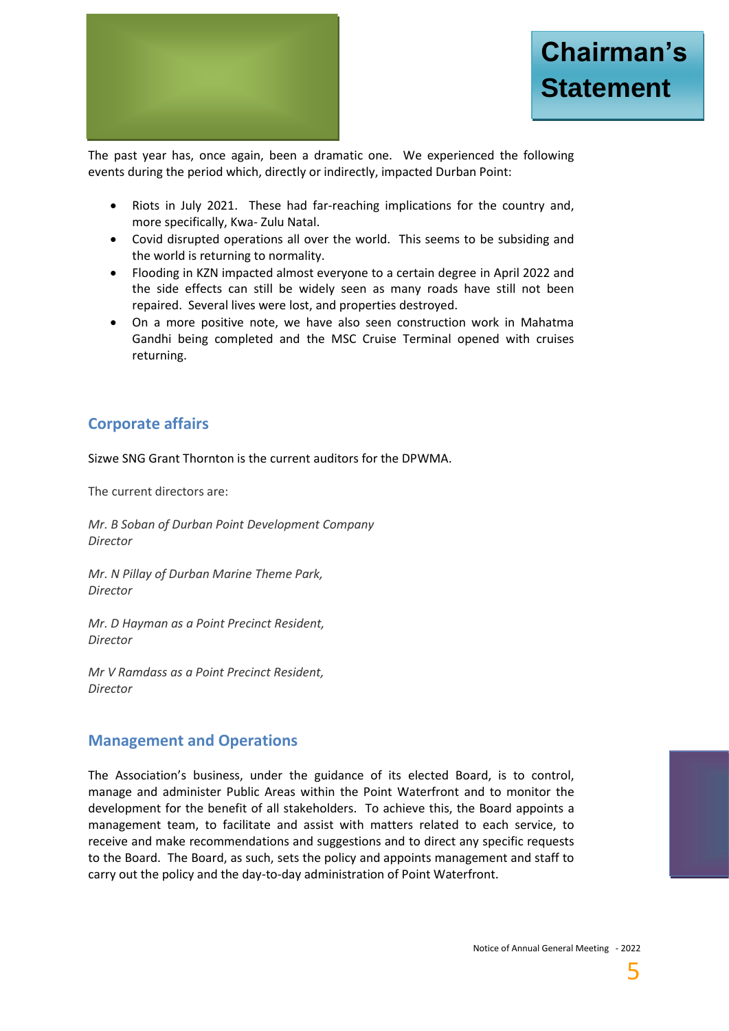

The past year has, once again, been a dramatic one. We experienced the following events during the period which, directly or indirectly, impacted Durban Point:

- Riots in July 2021. These had far-reaching implications for the country and, more specifically, Kwa- Zulu Natal.
- Covid disrupted operations all over the world. This seems to be subsiding and the world is returning to normality.
- Flooding in KZN impacted almost everyone to a certain degree in April 2022 and the side effects can still be widely seen as many roads have still not been repaired. Several lives were lost, and properties destroyed.
- On a more positive note, we have also seen construction work in Mahatma Gandhi being completed and the MSC Cruise Terminal opened with cruises returning.

## **Corporate affairs**

Sizwe SNG Grant Thornton is the current auditors for the DPWMA.

The current directors are:

*Mr. B Soban of Durban Point Development Company Director*

*Mr. N Pillay of Durban Marine Theme Park, Director*

*Mr. D Hayman as a Point Precinct Resident, Director*

*Mr V Ramdass as a Point Precinct Resident, Director*

## **Management and Operations**

The Association's business, under the guidance of its elected Board, is to control, manage and administer Public Areas within the Point Waterfront and to monitor the development for the benefit of all stakeholders. To achieve this, the Board appoints a management team, to facilitate and assist with matters related to each service, to receive and make recommendations and suggestions and to direct any specific requests to the Board. The Board, as such, sets the policy and appoints management and staff to carry out the policy and the day-to-day administration of Point Waterfront.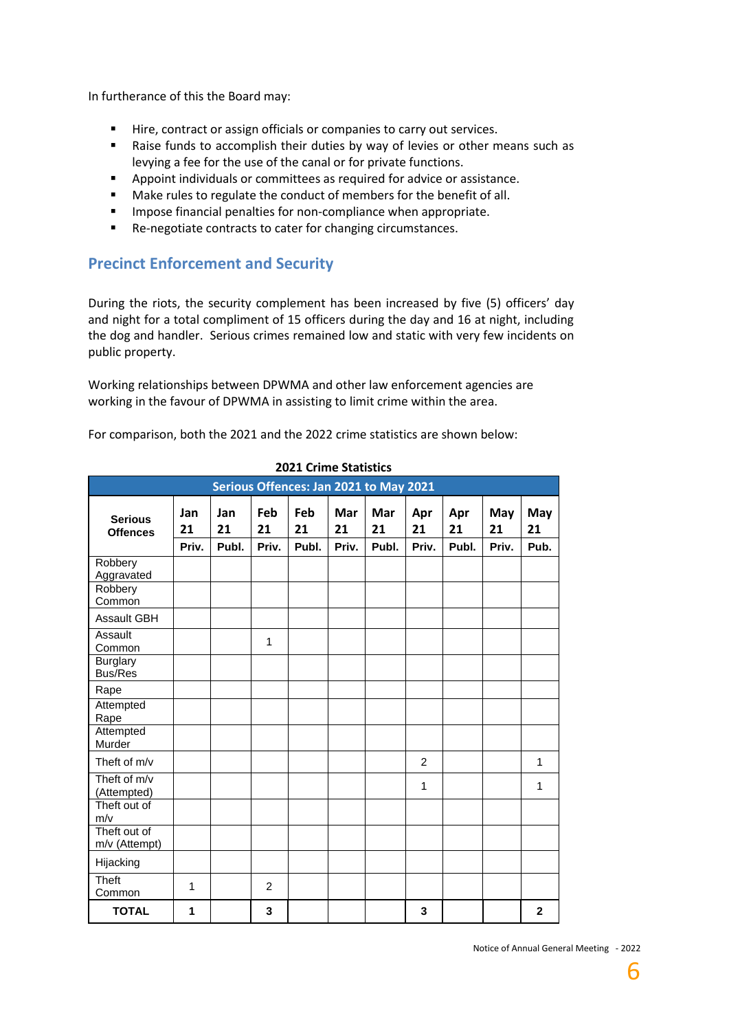In furtherance of this the Board may:

- Hire, contract or assign officials or companies to carry out services.
- Raise funds to accomplish their duties by way of levies or other means such as levying a fee for the use of the canal or for private functions.
- Appoint individuals or committees as required for advice or assistance.
- Make rules to regulate the conduct of members for the benefit of all.
- **■** Impose financial penalties for non-compliance when appropriate.
- Re-negotiate contracts to cater for changing circumstances.

## **Precinct Enforcement and Security**

During the riots, the security complement has been increased by five (5) officers' day and night for a total compliment of 15 officers during the day and 16 at night, including the dog and handler. Serious crimes remained low and static with very few incidents on public property.

Working relationships between DPWMA and other law enforcement agencies are working in the favour of DPWMA in assisting to limit crime within the area.

For comparison, both the 2021 and the 2022 crime statistics are shown below:

| Serious Offences: Jan 2021 to May 2021 |                    |                    |                    |                    |                    |                    |                    |                    |                    |                   |
|----------------------------------------|--------------------|--------------------|--------------------|--------------------|--------------------|--------------------|--------------------|--------------------|--------------------|-------------------|
| <b>Serious</b><br><b>Offences</b>      | Jan<br>21<br>Priv. | Jan<br>21<br>Publ. | Feb<br>21<br>Priv. | Feb<br>21<br>Publ. | Mar<br>21<br>Priv. | Mar<br>21<br>Publ. | Apr<br>21<br>Priv. | Apr<br>21<br>Publ. | May<br>21<br>Priv. | May<br>21<br>Pub. |
| Robbery<br>Aggravated                  |                    |                    |                    |                    |                    |                    |                    |                    |                    |                   |
| Robbery<br>Common                      |                    |                    |                    |                    |                    |                    |                    |                    |                    |                   |
| <b>Assault GBH</b>                     |                    |                    |                    |                    |                    |                    |                    |                    |                    |                   |
| Assault<br>Common                      |                    |                    | 1                  |                    |                    |                    |                    |                    |                    |                   |
| <b>Burglary</b><br><b>Bus/Res</b>      |                    |                    |                    |                    |                    |                    |                    |                    |                    |                   |
| Rape                                   |                    |                    |                    |                    |                    |                    |                    |                    |                    |                   |
| Attempted<br>Rape                      |                    |                    |                    |                    |                    |                    |                    |                    |                    |                   |
| Attempted<br>Murder                    |                    |                    |                    |                    |                    |                    |                    |                    |                    |                   |
| Theft of m/v                           |                    |                    |                    |                    |                    |                    | $\overline{2}$     |                    |                    | $\mathbf{1}$      |
| Theft of m/v<br>(Attempted)            |                    |                    |                    |                    |                    |                    | 1                  |                    |                    | $\mathbf{1}$      |
| Theft out of<br>m/v                    |                    |                    |                    |                    |                    |                    |                    |                    |                    |                   |
| Theft out of<br>m/v (Attempt)          |                    |                    |                    |                    |                    |                    |                    |                    |                    |                   |
| Hijacking                              |                    |                    |                    |                    |                    |                    |                    |                    |                    |                   |
| Theft<br>Common                        | 1                  |                    | $\overline{2}$     |                    |                    |                    |                    |                    |                    |                   |
| <b>TOTAL</b>                           | 1                  |                    | 3                  |                    |                    |                    | 3                  |                    |                    | $\mathbf{2}$      |

 **2021 Crime Statistics**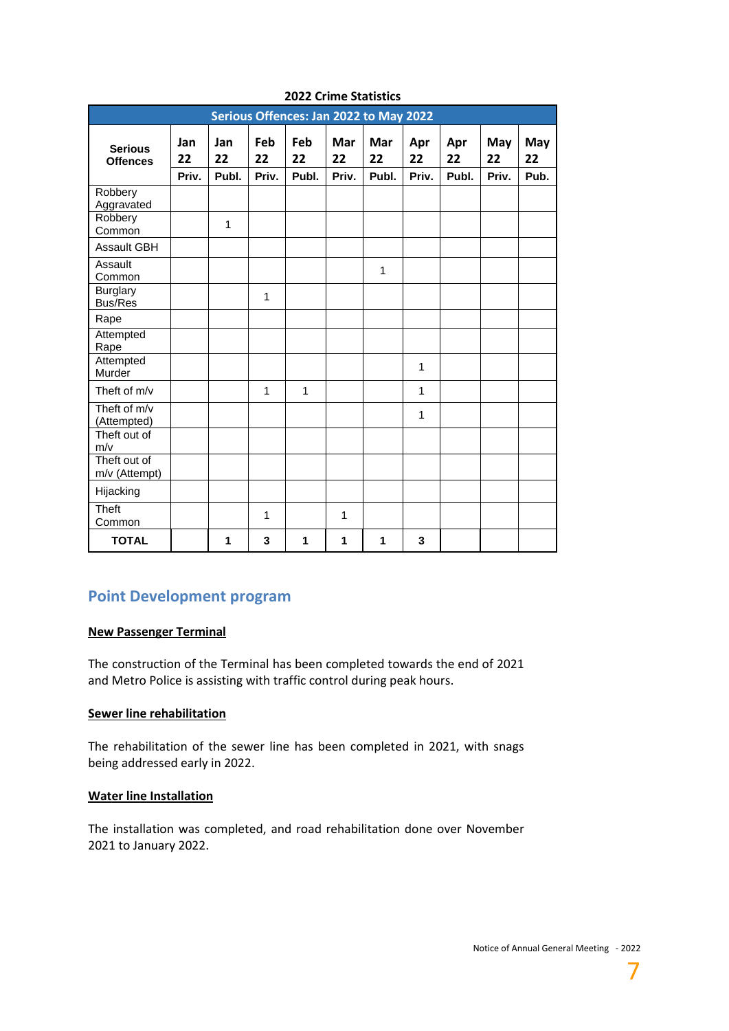| Serious Offences: Jan 2022 to May 2022 |                    |                    |                    |                    |                    |                    |                    |                    |                    |                   |
|----------------------------------------|--------------------|--------------------|--------------------|--------------------|--------------------|--------------------|--------------------|--------------------|--------------------|-------------------|
| <b>Serious</b><br><b>Offences</b>      | Jan<br>22<br>Priv. | Jan<br>22<br>Publ. | Feb<br>22<br>Priv. | Feb<br>22<br>Publ. | Mar<br>22<br>Priv. | Mar<br>22<br>Publ. | Apr<br>22<br>Priv. | Apr<br>22<br>Publ. | May<br>22<br>Priv. | May<br>22<br>Pub. |
| Robbery<br>Aggravated                  |                    |                    |                    |                    |                    |                    |                    |                    |                    |                   |
| Robbery<br>Common                      |                    | 1                  |                    |                    |                    |                    |                    |                    |                    |                   |
| <b>Assault GBH</b>                     |                    |                    |                    |                    |                    |                    |                    |                    |                    |                   |
| Assault<br>Common                      |                    |                    |                    |                    |                    | $\mathbf{1}$       |                    |                    |                    |                   |
| <b>Burglary</b><br><b>Bus/Res</b>      |                    |                    | 1                  |                    |                    |                    |                    |                    |                    |                   |
| Rape                                   |                    |                    |                    |                    |                    |                    |                    |                    |                    |                   |
| Attempted<br>Rape                      |                    |                    |                    |                    |                    |                    |                    |                    |                    |                   |
| Attempted<br>Murder                    |                    |                    |                    |                    |                    |                    | 1                  |                    |                    |                   |
| Theft of m/v                           |                    |                    | 1                  | $\mathbf{1}$       |                    |                    | 1                  |                    |                    |                   |
| Theft of m/v<br>(Attempted)            |                    |                    |                    |                    |                    |                    | 1                  |                    |                    |                   |
| Theft out of<br>m/v                    |                    |                    |                    |                    |                    |                    |                    |                    |                    |                   |
| Theft out of<br>m/v (Attempt)          |                    |                    |                    |                    |                    |                    |                    |                    |                    |                   |
| Hijacking                              |                    |                    |                    |                    |                    |                    |                    |                    |                    |                   |
| <b>Theft</b><br>Common                 |                    |                    | 1                  |                    | 1                  |                    |                    |                    |                    |                   |
| <b>TOTAL</b>                           |                    | 1                  | 3                  | 1                  | 1                  | 1                  | 3                  |                    |                    |                   |

## **2022 Crime Statistics**

## **Point Development program**

### **New Passenger Terminal**

The construction of the Terminal has been completed towards the end of 2021 and Metro Police is assisting with traffic control during peak hours.

### **Sewer line rehabilitation**

The rehabilitation of the sewer line has been completed in 2021, with snags being addressed early in 2022.

### **Water line Installation**

The installation was completed, and road rehabilitation done over November 2021 to January 2022.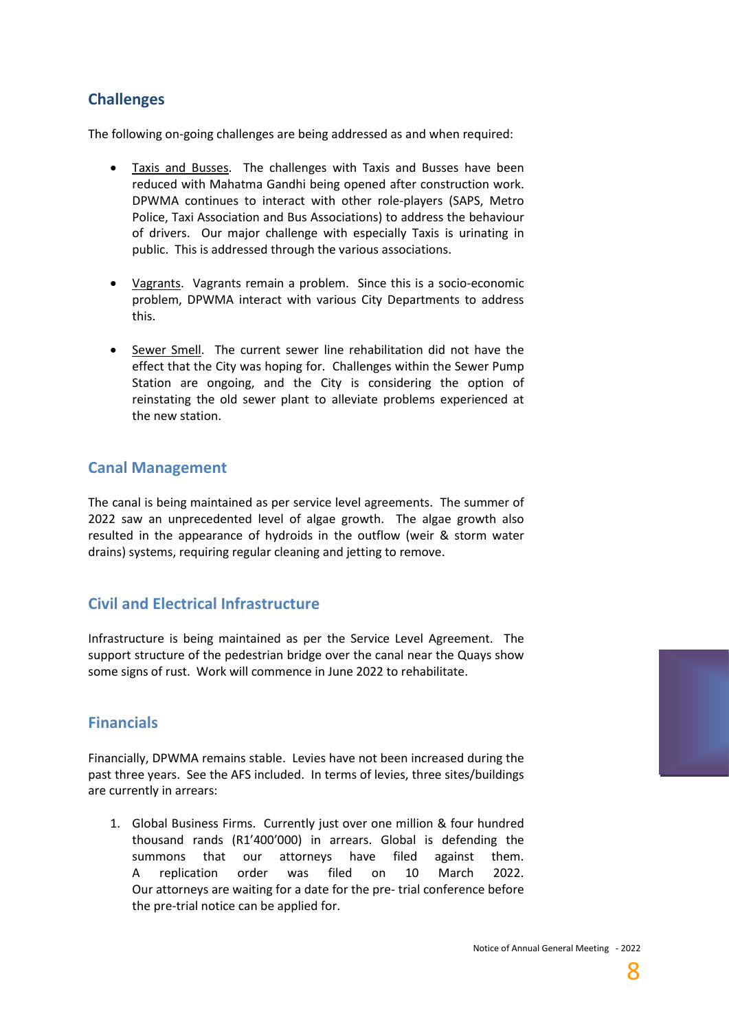# **Challenges**

The following on-going challenges are being addressed as and when required:

- Taxis and Busses. The challenges with Taxis and Busses have been reduced with Mahatma Gandhi being opened after construction work. DPWMA continues to interact with other role-players (SAPS, Metro Police, Taxi Association and Bus Associations) to address the behaviour of drivers. Our major challenge with especially Taxis is urinating in public. This is addressed through the various associations.
- Vagrants. Vagrants remain a problem. Since this is a socio-economic problem, DPWMA interact with various City Departments to address this.
- Sewer Smell. The current sewer line rehabilitation did not have the effect that the City was hoping for. Challenges within the Sewer Pump Station are ongoing, and the City is considering the option of reinstating the old sewer plant to alleviate problems experienced at the new station.

## **Canal Management**

The canal is being maintained as per service level agreements. The summer of 2022 saw an unprecedented level of algae growth. The algae growth also resulted in the appearance of hydroids in the outflow (weir & storm water drains) systems, requiring regular cleaning and jetting to remove.

## **Civil and Electrical Infrastructure**

Infrastructure is being maintained as per the Service Level Agreement. The support structure of the pedestrian bridge over the canal near the Quays show some signs of rust. Work will commence in June 2022 to rehabilitate.

# **Financials**

Financially, DPWMA remains stable. Levies have not been increased during the past three years. See the AFS included. In terms of levies, three sites/buildings are currently in arrears:

1. Global Business Firms. Currently just over one million & four hundred thousand rands (R1'400'000) in arrears. Global is defending the summons that our attorneys have filed against them. A replication order was filed on 10 March 2022. Our attorneys are waiting for a date for the pre- trial conference before the pre-trial notice can be applied for.